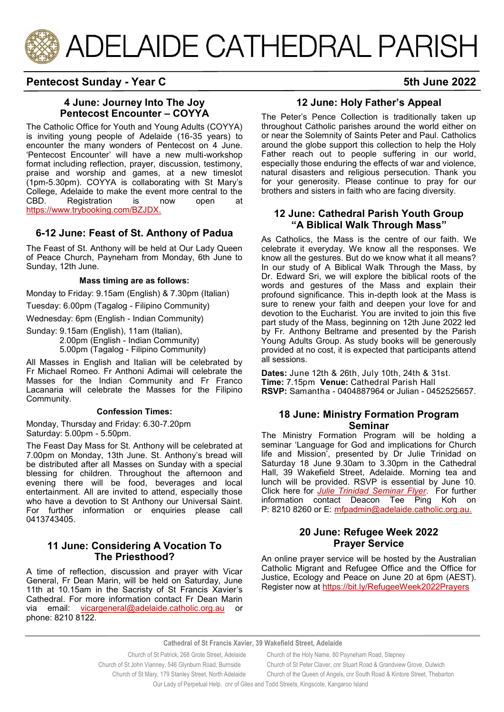

# **Pentecost Sunday - Year C** 5th June 2022

## **4 June: Journey Into The Joy Pentecost Encounter – COYYA**

The Catholic Office for Youth and Young Adults (COYYA) is inviting young people of Adelaide (16-35 years) to encounter the many wonders of Pentecost on 4 June. 'Pentecost Encounter' will have a new multi-workshop format including reflection, prayer, discussion, testimony, praise and worship and games, at a new timeslot (1pm-5.30pm). COYYA is collaborating with St Mary's College, Adelaide to make the event more central to the CBD. Registration is now open at [https://www.trybooking.com/BZJDX.](https://aus01.safelinks.protection.outlook.com/?url=https%3A%2F%2Fwww.trybooking.com%2FBZJDX&data=05%7C01%7CCco-Reception%40adelaide.catholic.org.au%7C3768892bd32343fd910608da314fec66%7Cfe51d108d61d407cbcaaaab5af82a7ac%7C1%7C0%7C637876516609261073%7CUnknown%7)

# **6-12 June: Feast of St. Anthony of Padua**

The Feast of St. Anthony will be held at Our Lady Queen of Peace Church, Payneham from Monday, 6th June to Sunday, 12th June.

#### **Mass timing are as follows:**

Monday to Friday: 9.15am (English) & 7.30pm (Italian)

Tuesday: 6.00pm (Tagalog - Filipino Community)

Wednesday: 6pm (English - Indian Community)

Sunday: 9.15am (English), 11am (Italian), 2.00pm (English - Indian Community) 5.00pm (Tagalog - Filipino Community)

All Masses in English and Italian will be celebrated by Fr Michael Romeo. Fr Anthoni Adimai will celebrate the Masses for the Indian Community and Fr Franco Lacanaria will celebrate the Masses for the Filipino Community.

#### **Confession Times:**

Monday, Thursday and Friday: 6.30-7.20pm Saturday: 5.00pm - 5.50pm.

The Feast Day Mass for St. Anthony will be celebrated at 7.00pm on Monday, 13th June. St. Anthony's bread will be distributed after all Masses on Sunday with a special blessing for children. Throughout the afternoon and evening there will be food, beverages and local entertainment. All are invited to attend, especially those who have a devotion to St Anthony our Universal Saint. For further information or enquiries please call 0413743405.

#### **11 June: Considering A Vocation To The Priesthood?**

A time of reflection, discussion and prayer with Vicar General, Fr Dean Marin, will be held on Saturday, June 11th at 10.15am in the Sacristy of St Francis Xavier's Cathedral. For more information contact Fr Dean Marin via email: [vicargeneral@adelaide.catholic.org.au](mailto:vicargeneral@adelaide.catholic.org.au) or phone: 8210 8122.

## **12 June: Holy Father's Appeal**

The Peter's Pence Collection is traditionally taken up throughout Catholic parishes around the world either on or near the Solemnity of Saints Peter and Paul. Catholics around the globe support this collection to help the Holy Father reach out to people suffering in our world, especially those enduring the effects of war and violence, natural disasters and religious persecution. Thank you for your generosity. Please continue to pray for our brothers and sisters in faith who are facing diversity.

#### **12 June: Cathedral Parish Youth Group "A Biblical Walk Through Mass"**

As Catholics, the Mass is the centre of our faith. We celebrate it everyday. We know all the responses. We know all the gestures. But do we know what it all means? In our study of A Biblical Walk Through the Mass, by Dr. Edward Sri, we will explore the biblical roots of the words and gestures of the Mass and explain their profound significance. This in-depth look at the Mass is sure to renew your faith and deepen your love for and devotion to the Eucharist. You are invited to join this five part study of the Mass, beginning on 12th June 2022 led by Fr. Anthony Beltrame and presented by the Parish Young Adults Group. As study books will be generously provided at no cost, it is expected that participants attend all sessions.

**Dates:** June 12th & 26th, July 10th, 24th & 31st. **Time:** 7.15pm **Venue:** Cathedral Parish Hall **RSVP:** Samantha - 0404887964 or Julian - 0452525657.

#### **18 June: Ministry Formation Program Seminar**

The Ministry Formation Program will be holding a seminar 'Language for God and implications for Church life and Mission', presented by Dr Julie Trinidad on Saturday 18 June 9.30am to 3.30pm in the Cathedral Hall, 39 Wakefield Street, Adelaide. Morning tea and lunch will be provided. RSVP is essential by June 10. Click here for *[Julie Trinidad Seminar Flyer](https://adelaide.catholic.org.au/__files/f/129798/11.Julie%20Trinidad%2018%20June%202022%20Seminar%20Parsih%20flyer%20(8).pdf)*. For further information contact Deacon Tee Ping Koh on P: 8210 8260 or E: [mfpadmin@adelaide.catholic.org.au.](mailto:mfpadmin@adelaide.catholic.org.au.)

#### **20 June: Refugee Week 2022 Prayer Service**

An online prayer service will be hosted by the Australian Catholic Migrant and Refugee Office and the Office for Justice, Ecology and Peace on June 20 at 6pm (AEST). Register now at<https://bit.ly/RefugeeWeek2022Prayers>

#### **Cathedral of St Francis Xavier, 39 Wakefield Street, Adelaide**

 Church of St Patrick, 268 Grote Street, Adelaide Church of the Holy Name, 80 Payneham Road, Stepney Church of St John Vianney, 546 Glynburn Road, Burnside Church of St Peter Claver, cnr Stuart Road & Grandview Grove, Dulwich Church of St Mary, 179 Stanley Street, North Adelaide Church of the Queen of Angels, cnr South Road & Kintore Street, Thebarton Our Lady of Perpetual Help, cnr of Giles and Todd Streets, Kingscote, Kangaroo Island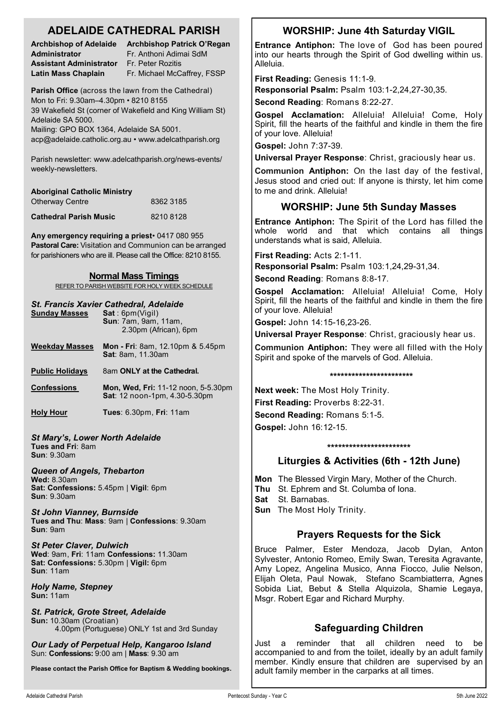# **ADELAIDE CATHEDRAL PARISH**

**Administrator** Fr. Anthoni Adimai SdM **Assistant Administrator** Fr. Peter Rozitis **Latin Mass Chaplain** Fr. Michael McCaffrey, FSSP

**Archbishop of Adelaide Archbishop Patrick O'Regan** 

**Parish Office** (across the lawn from the Cathedral) Mon to Fri: 9.30am–4.30pm • 8210 8155 39 Wakefield St (corner of Wakefield and King William St) Adelaide SA 5000.

Mailing: GPO BOX 1364, Adelaide SA 5001. acp@adelaide.catholic.org.au • www.adelcathparish.org

Parish newsletter: www.adelcathparish.org/news-events/ weekly-newsletters.

| <b>Aboriginal Catholic Ministry</b> |           |
|-------------------------------------|-----------|
| <b>Otherway Centre</b>              | 8362 3185 |
| <b>Cathedral Parish Music</b>       | 82108128  |

**Any emergency requiring a priest**• 0417 080 955 **Pastoral Care:** Visitation and Communion can be arranged for parishioners who are ill. Please call the Office: 8210 8155.

#### **Normal Mass Timings**

REFER TO PARISH WEBSITE FOR HOLY WEEK SCHEDULE

#### *St. Francis Xavier Cathedral, Adelaide*

| <b>Sunday Masses</b>   | Sat:6pm(Vigil)<br><b>Sun: 7am, 9am, 11am,</b><br>2.30pm (African), 6pm      |
|------------------------|-----------------------------------------------------------------------------|
| <b>Weekday Masses</b>  | <b>Mon - Fri</b> : 8am, 12.10pm & 5.45pm<br><b>Sat: 8am, 11.30am</b>        |
| <b>Public Holidays</b> | 8am ONLY at the Cathedral.                                                  |
| <b>Confessions</b>     | <b>Mon, Wed, Fri: 11-12 noon, 5-5.30pm</b><br>Sat: 12 noon-1pm, 4.30-5.30pm |
| <b>Holy Hour</b>       | <b>Tues: 6.30pm, Fri: 11am</b>                                              |
|                        |                                                                             |

*St Mary's, Lower North Adelaide* **Tues and Fri**: 8am **Sun**: 9.30am

*Queen of Angels, Thebarton*

**Wed:** 8.30am **Sat: Confessions:** 5.45pm | **Vigil**: 6pm **Sun**: 9.30am

*St John Vianney, Burnside* **Tues and Thu**: **Mass**: 9am | **Confessions**: 9.30am **Sun**: 9am

*St Peter Claver, Dulwich* **Wed**: 9am, **Fri**: 11am **Confessions:** 11.30am **Sat: Confessions:** 5.30pm | **Vigil:** 6pm **Sun**: 11am

*Holy Name, Stepney* **Sun:** 11am

*St. Patrick, Grote Street, Adelaide* **Sun:** 10.30am (Croatian) 4.00pm (Portuguese) ONLY 1st and 3rd Sunday

*Our Lady of Perpetual Help, Kangaroo Island* Sun: **Confessions:** 9:00 am | **Mass**: 9.30 am

**Please contact the Parish Office for Baptism & Wedding bookings.**

# **WORSHIP: June 4th Saturday VIGIL**

**Entrance Antiphon:** The love of God has been poured into our hearts through the Spirit of God dwelling within us. Alleluia.

**First Reading:** Genesis 11:1-9.

**Responsorial Psalm:** Psalm 103:1-2,24,27-30,35.

**Second Reading**: Romans 8:22-27.

**Gospel Acclamation:** Alleluia! Alleluia! Come, Holy Spirit, fill the hearts of the faithful and kindle in them the fire of your love. Alleluia!

**Gospel:** John 7:37-39.

**Universal Prayer Response**: Christ, graciously hear us.

**Communion Antiphon:** On the last day of the festival, Jesus stood and cried out: If anyone is thirsty, let him come to me and drink. Alleluia!

# **WORSHIP: June 5th Sunday Masses**

**Entrance Antiphon:** The Spirit of the Lord has filled the whole world and that which contains all things understands what is said, Alleluia.

**First Reading:** Acts 2:1-11.

**Responsorial Psalm:** Psalm 103:1,24,29-31,34.

**Second Reading**: Romans 8:8-17.

**Gospel Acclamation:** Alleluia! Alleluia! Come, Holy Spirit, fill the hearts of the faithful and kindle in them the fire of your love. Alleluia!

**Gospel:** John 14:15-16,23-26.

**Universal Prayer Response**: Christ, graciously hear us.

**Communion Antiphon:** They were all filled with the Holy Spirit and spoke of the marvels of God. Alleluia.

#### **\*\*\*\*\*\*\*\*\*\*\*\*\*\*\*\*\*\*\*\*\*\*\***

**Next week:** The Most Holy Trinity. **First Reading:** Proverbs 8:22-31. **Second Reading:** Romans 5:1-5. **Gospel:** John 16:12-15.

#### **\*\*\*\*\*\*\*\*\*\*\*\*\*\*\*\*\*\*\*\*\*\*\***

# **Liturgies & Activities (6th - 12th June)**

**Mon** The Blessed Virgin Mary, Mother of the Church. **Thu** St. Ephrem and St. Columba of Iona.

**Sat** St. Barnabas.

**Sun** The Most Holy Trinity.

# **Prayers Requests for the Sick**

Bruce Palmer, Ester Mendoza, Jacob Dylan, Anton Sylvester, Antonio Romeo, Emily Swan, Teresita Agravante, Amy Lopez, Angelina Musico, Anna Fiocco, Julie Nelson, Elijah Oleta, Paul Nowak, Stefano Scambiatterra, Agnes Sobida Liat, Bebut & Stella Alquizola, Shamie Legaya, Msgr. Robert Egar and Richard Murphy.

# **Safeguarding Children**

Just a reminder that all children need to be accompanied to and from the toilet, ideally by an adult family member. Kindly ensure that children are supervised by an adult family member in the carparks at all times.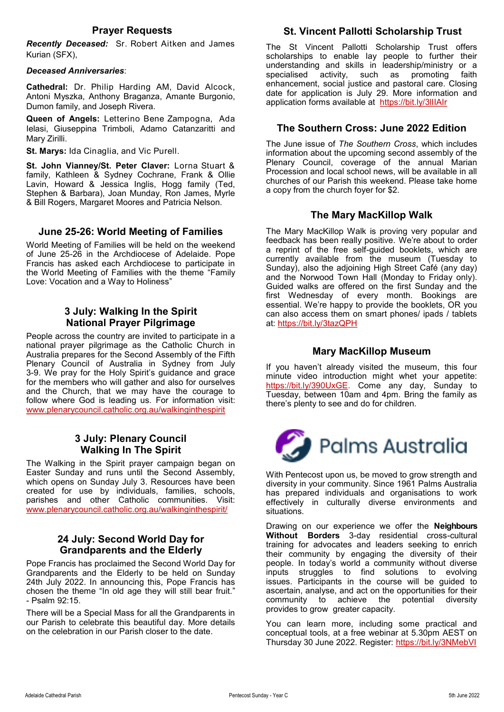### **Prayer Requests**

*Recently Deceased:* Sr. Robert Aitken and James Kurian (SFX),

#### *Deceased Anniversaries*:

**Cathedral:** Dr. Philip Harding AM, David Alcock, Antoni Myszka, Anthony Braganza, Amante Burgonio, Dumon family, and Joseph Rivera.

**Queen of Angels:** Letterino Bene Zampogna, Ada Ielasi, Giuseppina Trimboli, Adamo Catanzaritti and Mary Zirilli.

**St. Marys:** Ida Cinaglia, and Vic Purell.

**St. John Vianney/St. Peter Claver:** Lorna Stuart & family, Kathleen & Sydney Cochrane, Frank & Ollie Lavin, Howard & Jessica Inglis, Hogg family (Ted, Stephen & Barbara), Joan Munday, Ron James, Myrle & Bill Rogers, Margaret Moores and Patricia Nelson.

### **June 25-26: World Meeting of Families**

World Meeting of Families will be held on the weekend of June 25-26 in the Archdiocese of Adelaide. Pope Francis has asked each Archdiocese to participate in the World Meeting of Families with the theme "Family Love: Vocation and a Way to Holiness"

# **3 July: Walking In the Spirit National Prayer Pilgrimage**

People across the country are invited to participate in a national prayer pilgrimage as the Catholic Church in Australia prepares for the Second Assembly of the Fifth Plenary Council of Australia in Sydney from July 3-9. We pray for the Holy Spirit's guidance and grace for the members who will gather and also for ourselves and the Church, that we may have the courage to follow where God is leading us. For information visit: [www.plenarycouncil.catholic.org.au/walkinginthespirit](http://www.plenarycouncil.catholic.org.au/walkinginthespirit)

#### **3 July: Plenary Council Walking In The Spirit**

The Walking in the Spirit prayer campaign began on Easter Sunday and runs until the Second Assembly, which opens on Sunday July 3. Resources have been created for use by individuals, families, schools, parishes and other Catholic communities. Visit: [www.plenarycouncil.catholic.org.au/walkinginthespirit/](https://aus01.safelinks.protection.outlook.com/?url=http%3A%2F%2Fwww.plenarycouncil.catholic.org.au%2Fwalkinginthespirit%2F&data=04%7C01%7Cjbradshaw%40adelaide.catholic.org.au%7C84992dbcff244f546e4f08da16cc8598%7Cfe51d108d61d407cbcaaaab5af82a7ac%7C1%7C0%7C637)

### **24 July: Second World Day for Grandparents and the Elderly**

Pope Francis has proclaimed the Second World Day for Grandparents and the Elderly to be held on Sunday 24th July 2022. In announcing this, Pope Francis has chosen the theme "In old age they will still bear fruit." - Psalm 92:15.

There will be a Special Mass for all the Grandparents in our Parish to celebrate this beautiful day. More details on the celebration in our Parish closer to the date.

# **St. Vincent Pallotti Scholarship Trust**

The St Vincent Pallotti Scholarship Trust offers scholarships to enable lay people to further their understanding and skills in leadership/ministry or a specialised activity, such as promoting faith enhancement, social justice and pastoral care. Closing date for application is July 29. More information and application forms available at https://bit.ly/3llIAIr

## **The Southern Cross: June 2022 Edition**

The June issue of *The Southern Cross*, which includes information about the upcoming second assembly of the Plenary Council, coverage of the annual Marian Procession and local school news, will be available in all churches of our Parish this weekend. Please take home a copy from the church foyer for \$2.

## **The Mary MacKillop Walk**

The Mary MacKillop Walk is proving very popular and feedback has been really positive. We're about to order a reprint of the free self-guided booklets, which are currently available from the museum (Tuesday to Sunday), also the adjoining High Street Café (any day) and the Norwood Town Hall (Monday to Friday only). Guided walks are offered on the first Sunday and the first Wednesday of every month. Bookings are essential. We're happy to provide the booklets, OR you can also access them on smart phones/ ipads / tablets at:<https://bit.ly/3tazQPH>

### **Mary MacKillop Museum**

If you haven't already visited the museum, this four minute video introduction might whet your appetite: [https://bit.ly/390UxGE.](https://bit.ly/390UxGE) Come any day, Sunday to Tuesday, between 10am and 4pm. Bring the family as there's plenty to see and do for children.



With Pentecost upon us, be moved to grow strength and diversity in your community. Since 1961 Palms Australia has prepared individuals and organisations to work effectively in culturally diverse environments and situations.

Drawing on our experience we offer the **[Neighbours](https://aus01.safelinks.protection.outlook.com/?url=https%3A%2F%2Fpalms.org.au%2Fneighbours-without-borders%2F&data=05%7C01%7Ccfernandez%40acp.adelaide.catholic.org.au%7C721743d533f344113b2a08da42cde160%7Cfe51d108d61d407cbcaaaab5af82a7ac%7C1%7C0%7C63789574925)  [Without Borders](https://aus01.safelinks.protection.outlook.com/?url=https%3A%2F%2Fpalms.org.au%2Fneighbours-without-borders%2F&data=05%7C01%7Ccfernandez%40acp.adelaide.catholic.org.au%7C721743d533f344113b2a08da42cde160%7Cfe51d108d61d407cbcaaaab5af82a7ac%7C1%7C0%7C63789574925)** 3-day residential cross-cultural training for advocates and leaders seeking to enrich their community by engaging the diversity of their people. In today's world a community without diverse inputs struggles to find solutions to evolving issues. Participants in the course will be guided to [ascertain, analyse, and act o](https://aus01.safelinks.protection.outlook.com/?url=https%3A%2F%2Fpalms.org.au%2Fneighbours-without-borders%2Fapproach-and-methodology%2F&data=05%7C01%7Ccfernandez%40acp.adelaide.catholic.org.au%7C721743d533f344113b2a08da42cde160%7Cfe51d108d61d407cbcaaaab5af8)n the opportunities for their community to achieve the potential diversity provides to grow greater capacity.

You can learn more, including some practical and conceptual tools, at a free webinar at 5.30pm AEST on Thursday 30 June 2022. Register: <https://bit.ly/3NMebVI>